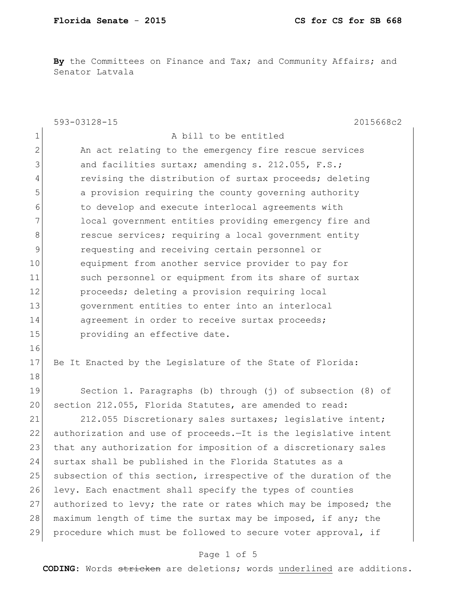By the Committees on Finance and Tax; and Community Affairs; and Senator Latvala

|                | 593-03128-15<br>2015668c2                                       |
|----------------|-----------------------------------------------------------------|
| 1              | A bill to be entitled                                           |
| $\overline{2}$ | An act relating to the emergency fire rescue services           |
| 3              | and facilities surtax; amending s. 212.055, F.S.;               |
| 4              | revising the distribution of surtax proceeds; deleting          |
| 5              | a provision requiring the county governing authority            |
| 6              | to develop and execute interlocal agreements with               |
| 7              | local government entities providing emergency fire and          |
| 8              | rescue services; requiring a local government entity            |
| 9              | requesting and receiving certain personnel or                   |
| 10             | equipment from another service provider to pay for              |
| 11             | such personnel or equipment from its share of surtax            |
| 12             | proceeds; deleting a provision requiring local                  |
| 13             | government entities to enter into an interlocal                 |
| 14             | agreement in order to receive surtax proceeds;                  |
| 15             | providing an effective date.                                    |
| 16             |                                                                 |
| 17             | Be It Enacted by the Legislature of the State of Florida:       |
| 18             |                                                                 |
| 19             | Section 1. Paragraphs (b) through (j) of subsection (8) of      |
| 20             | section 212.055, Florida Statutes, are amended to read:         |
| 21             | 212.055 Discretionary sales surtaxes; legislative intent;       |
| 22             | authorization and use of proceeds.-It is the legislative intent |
| 23             | that any authorization for imposition of a discretionary sales  |
| 24             | surtax shall be published in the Florida Statutes as a          |
| 25             | subsection of this section, irrespective of the duration of the |
| 26             | levy. Each enactment shall specify the types of counties        |
| 27             | authorized to levy; the rate or rates which may be imposed; the |
| 28             | maximum length of time the surtax may be imposed, if any; the   |
| 29             | procedure which must be followed to secure voter approval, if   |

## Page 1 of 5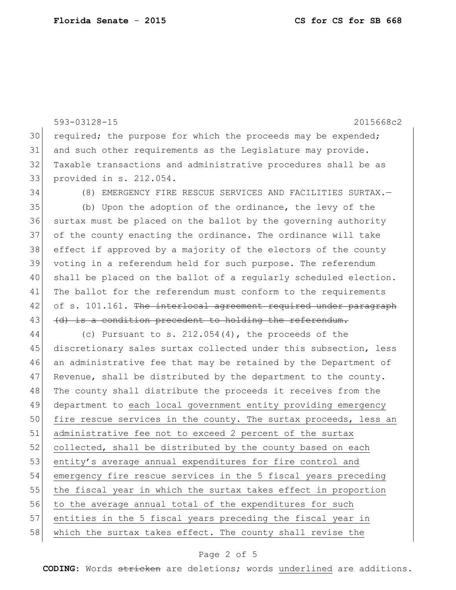593-03128-15 2015668c2 30 required; the purpose for which the proceeds may be expended; 31 and such other requirements as the Legislature may provide. 32 Taxable transactions and administrative procedures shall be as 33 provided in s. 212.054. 34 (8) EMERGENCY FIRE RESCUE SERVICES AND FACILITIES SURTAX.— 35 (b) Upon the adoption of the ordinance, the levy of the 36 surtax must be placed on the ballot by the governing authority 37 of the county enacting the ordinance. The ordinance will take 38 effect if approved by a majority of the electors of the county 39 voting in a referendum held for such purpose. The referendum 40 shall be placed on the ballot of a regularly scheduled election. 41 The ballot for the referendum must conform to the requirements 42 of s. 101.161. The interlocal agreement required under paragraph 43 (d) is a condition precedent to holding the referendum. 44 (c) Pursuant to s. 212.054(4), the proceeds of the 45 discretionary sales surtax collected under this subsection, less 46 an administrative fee that may be retained by the Department of  $47$  Revenue, shall be distributed by the department to the county. 48 The county shall distribute the proceeds it receives from the 49 department to each local government entity providing emergency 50 fire rescue services in the county. The surtax proceeds, less an 51 administrative fee not to exceed 2 percent of the surtax 52 collected, shall be distributed by the county based on each 53 entity's average annual expenditures for fire control and 54 emergency fire rescue services in the 5 fiscal years preceding 55 the fiscal year in which the surtax takes effect in proportion 56 to the average annual total of the expenditures for such 57 entities in the 5 fiscal years preceding the fiscal year in 58 which the surtax takes effect. The county shall revise the

#### Page 2 of 5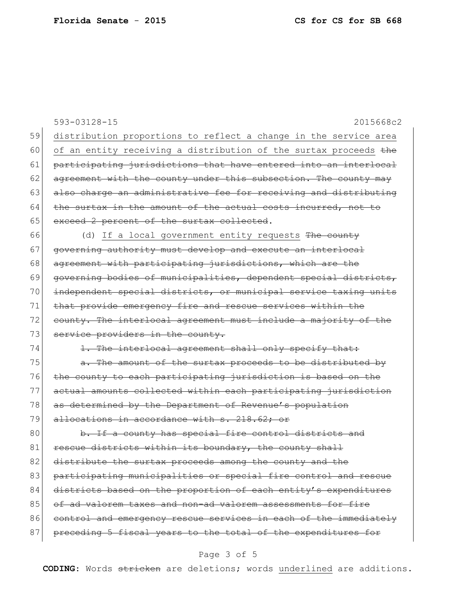593-03128-15 2015668c2 59 distribution proportions to reflect a change in the service area 60 of an entity receiving a distribution of the surtax proceeds  $the$ 61 participating jurisdictions that have entered into an interlocal 62 agreement with the county under this subsection. The county may 63 also charge an administrative fee for receiving and distributing  $64$  the surtax in the amount of the actual costs incurred, not to 65 exceed 2 percent of the surtax collected. 66 (d) If a local government entity requests The county 67 governing authority must develop and execute an interlocal 68 agreement with participating jurisdictions, which are the 69 governing bodies of municipalities, dependent special districts, 70 independent special districts, or municipal service taxing units 71 that provide emergency fire and rescue services within the 72 county. The interlocal agreement must include a majority of the 73 service providers in the county. 74 1. The interlocal agreement shall only specify that:  $75$  a. The amount of the surtax proceeds to be distributed by 76 the county to each participating jurisdiction is based on the 77 actual amounts collected within each participating jurisdiction 78 as determined by the Department of Revenue's population 79 allocations in accordance with s. 218.62; or 80 b. If a county has special fire control districts and 81 rescue districts within its boundary, the county shall 82 distribute the surtax proceeds among the county and the 83 participating municipalities or special fire control and rescue 84 districts based on the proportion of each entity's expenditures 85 of ad valorem taxes and non-ad valorem assessments for fire 86 control and emergency rescue services in each of the immediately 87 preceding 5 fiscal years to the total of the expenditures for

### Page 3 of 5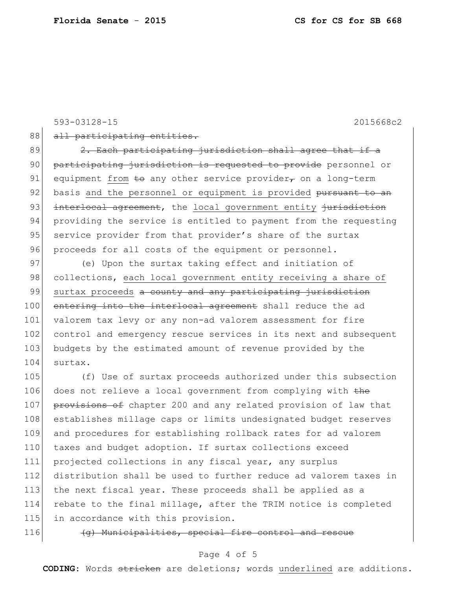593-03128-15 2015668c2

88 all participating entities.

 $89$   $2.$  Each participating jurisdiction shall agree that if a 90 participating jurisdiction is requested to provide personnel or 91 equipment from  $\pm$ o any other service provider, on a long-term 92 basis and the personnel or equipment is provided pursuant to an 93 interlocal agreement, the local government entity jurisdiction 94 providing the service is entitled to payment from the requesting 95 service provider from that provider's share of the surtax 96 proceeds for all costs of the equipment or personnel.

97 (e) Upon the surtax taking effect and initiation of 98 collections, each local government entity receiving a share of 99 surtax proceeds a county and any participating jurisdiction 100 entering into the interlocal agreement shall reduce the ad 101 valorem tax levy or any non-ad valorem assessment for fire 102 control and emergency rescue services in its next and subsequent 103 budgets by the estimated amount of revenue provided by the 104 surtax.

105 (f) Use of surtax proceeds authorized under this subsection 106 does not relieve a local government from complying with the 107 provisions of chapter 200 and any related provision of law that 108 establishes millage caps or limits undesignated budget reserves 109 and procedures for establishing rollback rates for ad valorem 110 taxes and budget adoption. If surtax collections exceed 111 projected collections in any fiscal year, any surplus 112 distribution shall be used to further reduce ad valorem taxes in 113 the next fiscal year. These proceeds shall be applied as a 114 rebate to the final millage, after the TRIM notice is completed 115 in accordance with this provision.

116  $\left\{\right.$   $\left\{\right.$   $\left\{\right.$   $\left\{\right.}$  Municipalities, special fire control and rescue

### Page 4 of 5